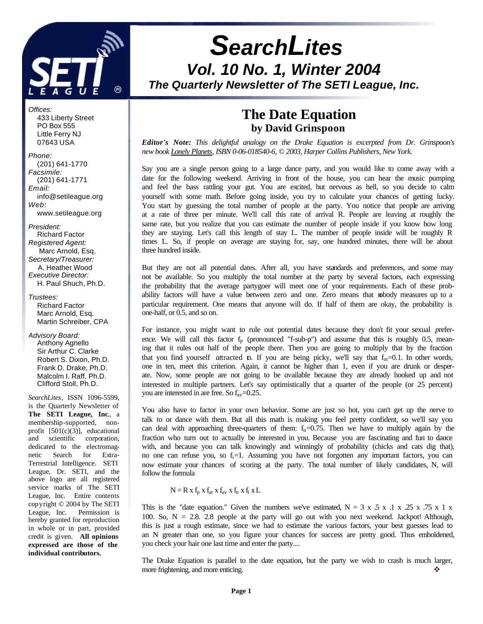

# *SearchLites Vol. 10 No. 1, Winter 2004 The Quarterly Newsletter of The SETI League, Inc.*

# **The Date Equation by David Grinspoon**

*Editor's Note: This delightful analogy on the Drake Equation is excerpted from Dr. Grinspoon's new book Lonely Planets, ISBN 0-06-018540-6, © 2003, Harper Collins Publishers, New York.*

Say you are a single person going to a large dance party, and you would like to come away with a date for the following weekend. Arriving in front of the house, you can hear the music pumping and feel the bass rattling your gut. You are excited, but nervous as hell, so you decide to calm yourself with some math. Before going inside, you try to calculate your chances of getting lucky. You start by guessing the total number of people at the party. You notice that people are arriving at a rate of three per minute. We'll call this rate of arrival R. People are leaving at roughly the same rate, but you realize that you can estimate the number of people inside if you know how long they are staying. Let's call this length of stay L. The number of people inside will be roughly R times L. So, if people on average are staying for, say, one hundred minutes, there will be about three hundred inside.

But they are not all potential dates. After all, you have standards and preferences, and some may not be available. So you multiply the total number at the party by several factors, each expressing the probability that the average partygoer will meet one of your requirements. Each of these probability factors will have a value between zero and one. Zero means that nobody measures up to a particular requirement. One means that anyone will do. If half of them are okay, the probability is one-half, or 0.5, and so on.

For instance, you might want to rule out potential dates because they don't fit your sexual *p*reference. We will call this factor  $f_p$  (pronounced "f-sub-p") and assume that this is roughly 0.5, meaning that it rules out half of the people there. Then you are going to multiply that by the fraction that you find yourself *attracted* to. If you are being picky, we'll say that  $f_{at}=0.1$ . In other words, one in ten, meet this criterion. Again, it cannot be higher than 1, even if you are drunk or desperate. Now, some people are not going to be *av*ailable because they are already hooked up and not interested in multiple partners. Let's say optimistically that a quarter of the people (or 25 percent) you are interested in are free. So  $f_{av}$ =0.25.

You also have to factor in your own behavior. Some are just so hot, you can't get up the *n*erve to talk to or dance with them. But all this math is making you feel pretty confident, so we'll say you can deal with approaching three-quarters of them:  $f_n=0.75$ . Then we have to multiply again by the fraction who turn out to actually be *i*nterested in you. Because you are fascinating and fun to dance with, and because you can talk knowingly and winningly of probability (chicks and cats dig that), no one can refuse you, so  $f_i = 1$ . Assuming you have not forgotten any important factors, you can now estimate your chances of scoring at the party. The total number of likely candidates, N, will follow the formula

 $N = R x f_p x f_{at} x f_{av} x f_n x f_i x L$ 

This is the "date equation." Given the numbers we've estimated,  $N = 3 \times 0.5 \times 0.1 \times 0.25 \times 0.75 \times 1 \times 0.75 \times 0.75 \times 0.75 \times 0.75 \times 0.75 \times 0.75 \times 0.75 \times 0.75 \times 0.75 \times 0.75 \times 0.75 \times 0.75 \times 0.75 \times 0.75 \times 0.75 \times 0.75 \times 0.75 \times$ 100. So,  $N = 2.8$ . 2.8 people at the party will go out with you next weekend. Jackpot! Although, this is just a rough estimate, since we had to estimate the various factors, your best guesses lead to an N greater than one, so you figure your chances for success are pretty good. Thus emboldened, you check your hair one last time and enter the party....

The Drake Equation is parallel to the date equation, but the party we wish to crash is much larger, more frightening, and more enticing.  $\mathbf{\hat{v}}$ 

*Offices:* 433 Liberty Street PO Box 555 Little Ferry NJ 07643 USA

*Phone:* (201) 641-1770 *Facsimile:* (201) 641-1771 *Email:* info@setileague.org *Web:* www.setileague.org

*President:* Richard Factor *Registered Agent:*  Marc Arnold, Esq. *Secretary/Treasurer:* A. Heather Wood *Executive Director:* H. Paul Shuch, Ph.D.

*Trustees:* Richard Factor Marc Arnold, Esq. Martin Schreiber, CPA

*Advisory Board:*

 Anthony Agnello Sir Arthur C. Clarke Robert S. Dixon, Ph.D. Frank D. Drake, Ph.D. Malcolm I. Raff, Ph.D. Clifford Stoll, Ph.D.

*SearchLites*, ISSN 1096-5599, is the Quarterly Newsletter of **The SETI League, Inc**., a membership-supported, nonprofit [501(c)(3)], educational and scientific corporation, dedicated to the electromagnetic Search for Extra-Terrestrial Intelligence. SETI League, Dr. SETI, and the above logo are all registered service marks of The SETI League, Inc. Entire contents copyright © 2004 by The SETI League, Inc. Permission is hereby granted for reproduction in whole or in part, provided credit is given. **All opinions expressed are those of the individual contributors.**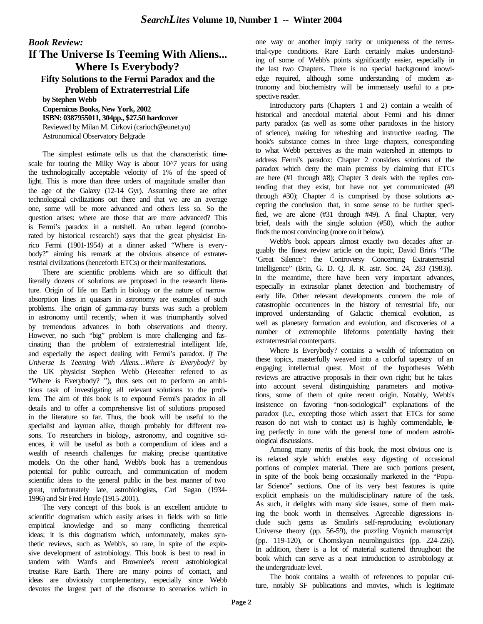# *Book Review:*

### **If The Universe Is Teeming With Aliens... Where Is Everybody? Fifty Solutions to the Fermi Paradox and the Problem of Extraterrestrial Life by Stephen Webb Copernicus Books, New York, 2002 ISBN: 0387955011, 304pp., \$27.50 hardcover**

Reviewed by Milan M. Cirkovi (carioch@eunet.yu) Astronomical Observatory Belgrade

The simplest estimate tells us that the characteristic timescale for touring the Milky Way is about 10^7 years for using the technologically acceptable velocity of 1% of the speed of light. This is more than three orders of magnitude smaller than the age of the Galaxy (12-14 Gyr). Assuming there are other technological civilizations out there and that we are an average one, some will be more advanced and others less so. So the question arises: where are those that are more advanced? This is Fermi's paradox in a nutshell. An urban legend (corroborated by historical research!) says that the great physicist Enrico Fermi (1901-1954) at a dinner asked "Where is everybody?" aiming his remark at the obvious absence of extraterrestrial civilizations (henceforth ETCs) or their manifestations.

There are scientific problems which are so difficult that literally dozens of solutions are proposed in the research literature. Origin of life on Earth in biology or the nature of narrow absorption lines in quasars in astronomy are examples of such problems. The origin of gamma-ray bursts was such a problem in astronomy until recently, when it was triumphantly solved by tremendous advances in both observations and theory. However, no such "big" problem is more challenging and fascinating than the problem of extraterrestrial intelligent life, and especially the aspect dealing with Fermi's paradox. *If The Universe Is Teeming With Aliens…Where Is Everybody?* by the UK physicist Stephen Webb (Hereafter referred to as "Where is Everybody? "), thus sets out to perform an ambitious task of investigating all relevant solutions to the problem. The aim of this book is to expound Fermi's paradox in all details and to offer a comprehensive list of solutions proposed in the literature so far. Thus, the book will be useful to the specialist and layman alike, though probably for different reasons. To researchers in biology, astronomy, and cognitive sciences, it will be useful as both a compendium of ideas and a wealth of research challenges for making precise quantitative models. On the other hand, Webb's book has a tremendous potential for public outreach, and communication of modern scientific ideas to the general public in the best manner of two great, unfortunately late, astrobiologists, Carl Sagan (1934- 1996) and Sir Fred Hoyle (1915-2001).

The very concept of this book is an excellent antidote to scientific dogmatism which easily arises in fields with so little empirical knowledge and so many conflicting theoretical ideas; it is this dogmatism which, unfortunately, makes synthetic reviews, such as Webb's, so rare, in spite of the explosive development of astrobiology. This book is best to read in tandem with Ward's and Brownlee's recent astrobiological treatise Rare Earth. There are many points of contact, and ideas are obviously complementary, especially since Webb devotes the largest part of the discourse to scenarios which in one way or another imply rarity or uniqueness of the terrestrial-type conditions. Rare Earth certainly makes understanding of some of Webb's points significantly easier, especially in the last two Chapters. There is no special background knowledge required, although some understanding of modern astronomy and biochemistry will be immensely useful to a prospective reader.

Introductory parts (Chapters 1 and 2) contain a wealth of historical and anecdotal material about Fermi and his dinner party paradox (as well as some other paradoxes in the history of science), making for refreshing and instructive reading. The book's substance comes in three large chapters, corresponding to what Webb perceives as the main watershed in attempts to address Fermi's paradox: Chapter 2 considers solutions of the paradox which deny the main premiss by claiming that ETCs are here (#1 through #8); Chapter 3 deals with the replies contending that they exist, but have not yet communicated (#9 through #30); Chapter 4 is comprised by those solutions accepting the conclusion that, in some sense to be further specified, we are alone (#31 through #49). A final Chapter, very brief, deals with the single solution (#50), which the author finds the most convincing (more on it below).

Webb's book appears almost exactly two decades after arguably the finest review article on the topic, David Brin's "The 'Great Silence': the Controversy Concerning Extraterrestrial Intelligence" (Brin, G. D. Q. Jl. R. astr. Soc. 24, 283 (1983)). In the meantime, there have been very important advances, especially in extrasolar planet detection and biochemistry of early life. Other relevant developments concern the role of catastrophic occurrences in the history of terrestrial life, our improved understanding of Galactic chemical evolution, as well as planetary formation and evolution, and discoveries of a number of extremophile lifeforms potentially having their extraterrestrial counterparts.

Where Is Everybody? contains a wealth of information on these topics, masterfully weaved into a colorful tapestry of an engaging intellectual quest. Most of the hypotheses Webb reviews are attractive proposals in their own right; but he takes into account several distinguishing parameters and motivations, some of them of quite recent origin. Notably, Webb's insistence on favoring "non-sociological" explanations of the paradox (i.e., excepting those which assert that ETCs for some reason do not wish to contact us) is highly commendable, being perfectly in tune with the general tone of modern astrobiological discussions.

Among many merits of this book, the most obvious one is its relaxed style which enables easy digesting of occasional portions of complex material. There are such portions present, in spite of the book being occasionally marketed in the "Popular Science" sections. One of its very best features is quite explicit emphasis on the multidisciplinary nature of the task. As such, it delights with many side issues, some of them making the book worth in themselves. Agreeable digressions include such gems as Smolin's self-reproducing evolutionary Universe theory (pp. 56-59), the puzzling Voynich manuscript (pp. 119-120), or Chomskyan neurolinguistics (pp. 224-226). In addition, there is a lot of material scattered throughout the book which can serve as a neat introduction to astrobiology at the undergraduate level.

The book contains a wealth of references to popular culture, notably SF publications and movies, which is legitimate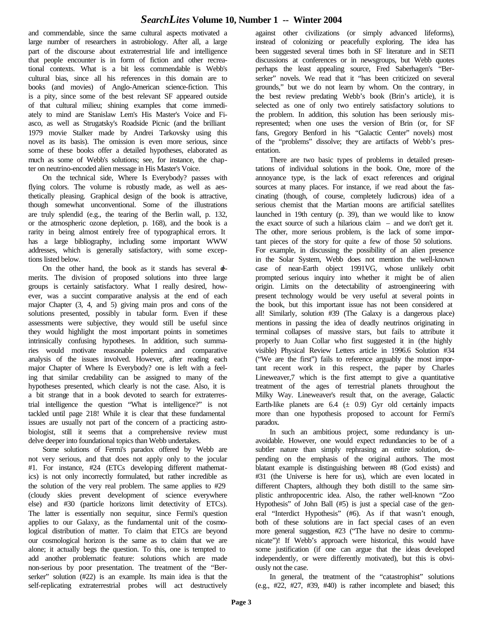and commendable, since the same cultural aspects motivated a large number of researchers in astrobiology. After all, a large part of the discourse about extraterrestrial life and intelligence that people encounter is in form of fiction and other recreational contexts. What is a bit less commendable is Webb's cultural bias, since all his references in this domain are to books (and movies) of Anglo-American science-fiction. This is a pity, since some of the best relevant SF appeared outside of that cultural milieu; shining examples that come immediately to mind are Stanislaw Lem's His Master's Voice and Fiasco, as well as Strugatsky's Roadside Picnic (and the brilliant 1979 movie Stalker made by Andrei Tarkovsky using this novel as its basis). The omission is even more serious, since some of these books offer a detailed hypotheses, elaborated as much as some of Webb's solutions; see, for instance, the chapter on neutrino-encoded alien message in His Master's Voice.

On the technical side, Where Is Everybody? passes with flying colors. The volume is robustly made, as well as aesthetically pleasing. Graphical design of the book is attractive, though somewhat unconventional. Some of the illustrations are truly splendid (e.g., the tearing of the Berlin wall, p. 132, or the atmospheric ozone depletion, p. 168), and the book is a rarity in being almost entirely free of typographical errors. It has a large bibliography, including some important WWW addresses, which is generally satisfactory, with some exceptions listed below.

On the other hand, the book as it stands has several  $\mathbf{d}$ merits. The division of proposed solutions into three large groups is certainly satisfactory. What I really desired, however, was a succint comparative analysis at the end of each major Chapter (3, 4, and 5) giving main pros and cons of the solutions presented, possibly in tabular form. Even if these assessments were subjective, they would still be useful since they would highlight the most important points in sometimes intrinsically confusing hypotheses. In addition, such summaries would motivate reasonable polemics and comparative analysis of the issues involved. However, after reading each major Chapter of Where Is Everybody? one is left with a feeling that similar credability can be assigned to many of the hypotheses presented, which clearly is not the case. Also, it is a bit strange that in a book devoted to search for extraterrestrial intelligence the question "What is intelligence?" is not tackled until page 218! While it is clear that these fundamental issues are usually not part of the concern of a practicing astrobiologist, still it seems that a comprehensive review must delve deeper into foundational topics than Webb undertakes.

Some solutions of Fermi's paradox offered by Webb are not very serious, and that does not apply only to the jocular #1. For instance, #24 (ETCs developing different mathematics) is not only incorrectly formulated, but rather incredible as the solution of the very real problem. The same applies to #29 (cloudy skies prevent development of science everywhere else) and #30 (particle horizons limit detectivity of ETCs). The latter is essentially non sequitur, since Fermi's question applies to our Galaxy, as the fundamental unit of the cosmological distribution of matter. To claim that ETCs are beyond our cosmological horizon is the same as to claim that we are alone; it actually begs the question. To this, one is tempted to add another problematic feature: solutions which are made non-serious by poor presentation. The treatment of the "Berserker" solution (#22) is an example. Its main idea is that the self-replicating extraterrestrial probes will act destructively

against other civilizations (or simply advanced lifeforms), instead of colonizing or peacefully exploring. The idea has been suggested several times both in SF literature and in SETI discussions at conferences or in newsgroups, but Webb quotes perhaps the least appealing source, Fred Saberhagen's "Berserker" novels. We read that it "has been criticized on several grounds," but we do not learn by whom. On the contrary, in the best review predating Webb's book (Brin's article), it is selected as one of only two entirely satisfactory solutions to the problem. In addition, this solution has been seriously misrepresented; when one uses the version of Brin (or, for SF fans, Gregory Benford in his "Galactic Center" novels) most of the "problems" dissolve; they are artifacts of Webb's presentation.

There are two basic types of problems in detailed presentations of individual solutions in the book. One, more of the annoyance type, is the lack of exact references and original sources at many places. For instance, if we read about the fascinating (though, of course, completely ludicrous) idea of a serious chemist that the Martian moons are artificial satellites launched in 19th century (p. 39), than we would like to know the exact source of such a hilarious claim – and we don't get it. The other, more serious problem, is the lack of some important pieces of the story for quite a few of those 50 solutions. For example, in discussing the possibility of an alien presence in the Solar System, Webb does not mention the well-known case of near-Earth object 1991VG, whose unlikely orbit prompted serious inquiry into whether it might be of alien origin. Limits on the detectability of astroengineering with present technology would be very useful at several points in the book, but this important issue has not been considered at all! Similarly, solution #39 (The Galaxy is a dangerous place) mentions in passing the idea of deadly neutrinos originating in terminal collapses of massive stars, but fails to attribute it properly to Juan Collar who first suggested it in (the highly visible) Physical Review Letters article in 1996.6 Solution #34 ("We are the first") fails to reference arguably the most important recent work in this respect, the paper by Charles Lineweaver,7 which is the first attempt to give a quantitative treatment of the ages of terrestrial planets throughout the Milky Way. Lineweaver's result that, on the average, Galactic Earth-like planets are  $6.4 \left( \pm 0.9 \right)$  Gyr old certainly impacts more than one hypothesis proposed to account for Fermi's paradox.

In such an ambitious project, some redundancy is unavoidable. However, one would expect redundancies to be of a subtler nature than simply rephrasing an entire solution, depending on the emphasis of the original authors. The most blatant example is distinguishing between #8 (God exists) and #31 (the Universe is here for us), which are even located in different Chapters, although they both distill to the same simplistic anthropocentric idea. Also, the rather well-known "Zoo Hypothesis" of John Ball (#5) is just a special case of the general "Interdict Hypothesis" (#6). As if that wasn't enough, both of these solutions are in fact special cases of an even more general suggestion, #23 ("The have no desire to communicate")! If Webb's approach were historical, this would have some justification (if one can argue that the ideas developed independently, or were differently motivated), but this is obviously not the case.

In general, the treatment of the "catastrophist" solutions (e.g., #22, #27, #39, #40) is rather incomplete and biased; this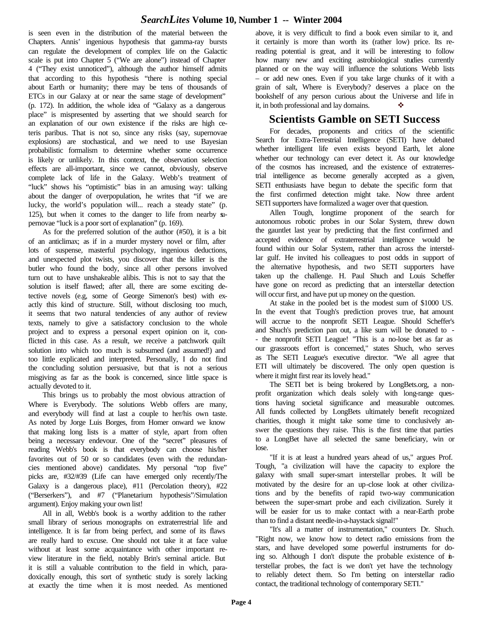is seen even in the distribution of the material between the Chapters. Annis' ingenious hypothesis that gamma-ray bursts can regulate the development of complex life on the Galactic scale is put into Chapter 5 ("We are alone") instead of Chapter 4 ("They exist unnoticed"), although the author himself admits that according to this hypothesis "there is nothing special about Earth or humanity; there may be tens of thousands of ETCs in our Galaxy at or near the same stage of development" (p. 172). In addition, the whole idea of "Galaxy as a dangerous place" is mispresented by asserting that we should search for an explanation of our own existence if the risks are high ceteris paribus. That is not so, since any risks (say, supernovae explosions) are stochastical, and we need to use Bayesian probabilistic formalism to determine whether some occurrence is likely or unlikely. In this context, the observation selection effects are all-important, since we cannot, obviously, observe complete lack of life in the Galaxy. Webb's treatment of "luck" shows his "optimistic" bias in an amusing way: talking about the danger of overpopulation, he writes that "if we are lucky, the world's population will... reach a steady state" (p. 125), but when it comes to the danger to life from nearby supernovae "luck is a poor sort of explanation" (p. 169).

As for the preferred solution of the author (#50), it is a bit of an anticlimax; as if in a murder mystery novel or film, after lots of suspense, masterful psychology, ingenious deductions, and unexpected plot twists, you discover that the killer is the butler who found the body, since all other persons involved turn out to have unshakeable alibis. This is not to say that the solution is itself flawed; after all, there are some exciting detective novels (e.g, some of George Simenon's best) with exactly this kind of structure. Still, without disclosing too much, it seems that two natural tendencies of any author of review texts, namely to give a satisfactory conclusion to the whole project and to express a personal expert opinion on it, conflicted in this case. As a result, we receive a patchwork quilt solution into which too much is subsumed (and assumed!) and too little explicated and interpreted. Personally, I do not find the concluding solution persuasive, but that is not a serious misgiving as far as the book is concerned, since little space is actually devoted to it.

This brings us to probably the most obvious attraction of Where is Everybody. The solutions Webb offers are many, and everybody will find at last a couple to her/his own taste. As noted by Jorge Luis Borges, from Homer onward we know that making long lists is a matter of style, apart from often being a necessary endevour. One of the "secret" pleasures of reading Webb's book is that everybody can choose his/her favorites out of 50 or so candidates (even with the redundancies mentioned above) candidates. My personal "top five" picks are, #32/#39 (Life can have emerged only recently/The Galaxy is a dangerous place), #11 (Percolation theory), #22 ("Berserkers"), and #7 ("Planetarium hypothesis"/Simulation argument). Enjoy making your own list!

All in all, Webb's book is a worthy addition to the rather small library of serious monographs on extraterrestrial life and intelligence. It is far from being perfect, and some of its flaws are really hard to excuse. One should not take it at face value without at least some acquaintance with other important review literature in the field, notably Brin's seminal article. But it is still a valuable contribution to the field in which, paradoxically enough, this sort of synthetic study is sorely lacking at exactly the time when it is most needed. As mentioned

above, it is very difficult to find a book even similar to it, and it certainly is more than worth its (rather low) price. Its rereading potential is great, and it will be interesting to follow how many new and exciting astrobiological studies currently planned or on the way will influence the solutions Webb lists – or add new ones. Even if you take large chunks of it with a grain of salt, Where is Everybody? deserves a place on the bookshelf of any person curious about the Universe and life in it, in both professional and lay domains.

### **Scientists Gamble on SETI Success**

For decades, proponents and critics of the scientific Search for Extra-Terrestrial Intelligence (SETI) have debated whether intelligent life even exists beyond Earth, let alone whether our technology can ever detect it. As our knowledge of the cosmos has increased, and the existence of extraterrestrial intelligence as become generally accepted as a given, SETI enthusiasts have begun to debate the specific form that the first confirmed detection might take. Now three ardent SETI supporters have formalized a wager over that question.

Allen Tough, longtime proponent of the search for autonomous robotic probes in our Solar System, threw down the gauntlet last year by predicting that the first confirmed and accepted evidence of extraterrestrial intelligence would be found within our Solar System, rather than across the interstellar gulf. He invited his colleagues to post odds in support of the alternative hypothesis, and two SETI supporters have taken up the challenge. H. Paul Shuch and Louis Scheffer have gone on record as predicting that an interstellar detection will occur first, and have put up money on the question.

At stake in the pooled bet is the modest sum of \$1000 US. In the event that Tough's prediction proves true, that amount will accrue to the nonprofit SETI League. Should Scheffer's and Shuch's prediction pan out, a like sum will be donated to - - the nonprofit SETI League! "This is a no-lose bet as far as our grassroots effort is concerned," states Shuch, who serves as The SETI League's executive director. "We all agree that ETI will ultimately be discovered. The only open question is where it might first rear its lovely head."

The SETI bet is being brokered by LongBets.org, a nonprofit organization which deals solely with long-range questions having societal significance and measurable outcomes. All funds collected by LongBets ultimately benefit recognized charities, though it might take some time to conclusively answer the questions they raise. This is the first time that parties to a LongBet have all selected the same beneficiary, win or lose.

"If it is at least a hundred years ahead of us," argues Prof. Tough, "a civilization will have the capacity to explore the galaxy with small super-smart interstellar probes. It will be motivated by the desire for an up-close look at other civilizations and by the benefits of rapid two-way communication between the super-smart probe and each civilization. Surely it will be easier for us to make contact with a near-Earth probe than to find a distant needle-in-a-haystack signal!"

"It's all a matter of instrumentation," counters Dr. Shuch. "Right now, we know how to detect radio emissions from the stars, and have developed some powerful instruments for doing so. Although I don't dispute the probable existence of interstellar probes, the fact is we don't yet have the technology to reliably detect them. So I'm betting on interstellar radio contact, the traditional technology of contemporary SETI."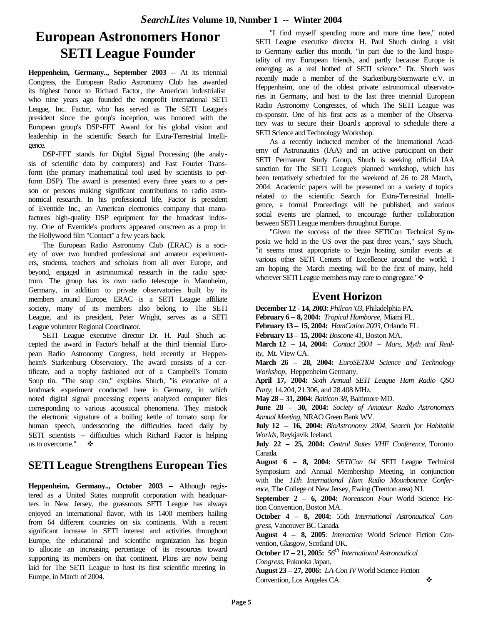# **European Astronomers Honor SETI League Founder**

**Heppenheim, Germany.., September 2003** -- At its triennial Congress, the European Radio Astronomy Club has awarded its highest honor to Richard Factor, the American industrialist who nine years ago founded the nonprofit international SETI League, Inc. Factor, who has served as The SETI League's president since the group's inception, was honored with the European group's DSP-FFT Award for his global vision and leadership in the scientific Search for Extra-Terrestrial Intelligence.

DSP-FFT stands for Digital Signal Processing (the analysis of scientific data by computers) and Fast Fourier Transform (the primary mathematical tool used by scientists to perform DSP). The award is presented every three years to a person or persons making significant contributions to radio astronomical research. In his professional life, Factor is president of Eventide Inc., an American electronics company that manufactures high-quality DSP equipment for the broadcast industry. One of Eventide's products appeared onscreen as a prop in the Hollywood film "Contact" a few years back.

The European Radio Astronomy Club (ERAC) is a society of over two hundred professional and amateur experimenters, students, teachers and scholars from all over Europe, and beyond, engaged in astronomical research in the radio spectrum. The group has its own radio telescope in Mannheim, Germany, in addition to private observatories built by its members around Europe. ERAC is a SETI League affiliate society, many of its members also belong to The SETI League, and its president, Peter Wright, serves as a SETI League volunteer Regional Coordinator.

SETI League executive director Dr. H. Paul Shuch accepted the award in Factor's behalf at the third triennial European Radio Astronomy Congress, held recently at Heppenheim's Starkenburg Observatory. The award consists of a certificate, and a trophy fashioned out of a Campbell's Tomato Soup tin. "The soup can," explains Shuch, "is evocative of a landmark experiment conducted here in Germany, in which noted digital signal processing experts analyzed computer files corresponding to various acoustical phenomena. They mistook the electronic signature of a boiling kettle of tomato soup for human speech, underscoring the difficulties faced daily by SETI scientists -- difficulties which Richard Factor is helping us to overcome."

# **SETI League Strengthens European Ties**

**Heppenheim, Germany.., October 2003** -- Although registered as a United States nonprofit corporation with headquarters in New Jersey, the grassroots SETI League has always enjoyed an international flavor, with its 1400 members hailing from 64 different countries on six continents. With a recent significant increase in SETI interest and activities throughout Europe, the educational and scientific organization has begun to allocate an increasing percentage of its resources toward supporting its members on that continent. Plans are now being laid for The SETI League to host its first scientific meeting in Europe, in March of 2004.

"I find myself spending more and more time here," noted SETI League executive director H. Paul Shuch during a visit to Germany earlier this month, "in part due to the kind hospitality of my European friends, and partly because Europe is emerging as a real hotbed of SETI science." Dr. Shuch was recently made a member of the Starkenburg-Sternwarte e.V. in Heppenheim, one of the oldest private astronomical observatories in Germany, and host to the last three triennial European Radio Astronomy Congresses, of which The SETI League was co-sponsor. One of his first acts as a member of the Observatory was to secure their Board's approval to schedule there a SETI Science and Technology Workshop.

As a recently inducted member of the International Academy of Astronautics (IAA) and an active participant on their SETI Permanent Study Group, Shuch is seeking official IAA sanction for The SETI League's planned workshop, which has been tentatively scheduled for the weekend of 26 to 28 March, 2004. Academic papers will be presented on a variety of topics related to the scientific Search for Extra-Terrestrial Intelligence, a formal Proceedings will be published, and various social events are planned, to encourage further collaboration between SETI League members throughout Europe.

"Given the success of the three SETICon Technical Symposia we held in the US over the past three years," says Shuch, "it seems most appropriate to begin hosting similar events at various other SETI Centers of Excellence around the world. I am hoping the March meeting will be the first of many, held wherever SETI League members may care to congregate." $\mathbf{\hat{*}}$ 

## **Event Horizon**

**December 12 - 14, 2003**: *Philcon '03*, Philadelphia PA.

**February 6 – 8, 2004:** *Tropical Hamboree,* Miami FL.

**February 13 – 15, 2004:** *HamCation 2003,* Orlando FL.

**February 13 – 15, 2004:** *Boscone 41*, Boston MA.

**March 12 – 14, 2004:** *Contact 2004 – Mars, Myth and Reality*, Mt. View CA.

**March 26 – 28, 2004:** *EuroSETI04 Science and Technology Workshop*, Heppenheim Germany.

**April 17, 2004:** *Sixth Annual SETI League Ham Radio QSO Party*; 14.204, 21.306, and 28.408 MHz.

**May 28 – 31, 2004:** *Balticon 38*, Baltimore MD.

**June 28 – 30, 2004:** *Society of Amateur Radio Astronomers Annual Meeting*, NRAO Green Bank WV.

**July 12 – 16, 2004:** *BioAstronomy 2004, Search for Habitable Worlds,* Reykjavik Iceland.

**July 22 – 25, 2004:** *Central States VHF Conference*, Toronto Canada.

**August 6 – 8, 2004:** *SETICon 04* SETI League Technical Symposium and Annual Membership Meeting, in conjunction with the *11th International Ham Radio Moonbounce Conference*, The College of New Jersey, Ewing (Trenton area) NJ.

**September 2 – 6, 2004:** *Noreascon Four* World Science Fiction Convention, Boston MA.

**October 4 – 8, 2004:** 55th *International Astronautical Congress*, Vancouver BC Canada.

**August 4 – 8, 2005**: *Interaction* World Science Fiction Convention, Glasgow, Scotland UK.

**October 17 – 21, 2005:** *56th International Astronautical Congress,* Fukuoka Japan.

**August 23 – 27, 2006:** *LA-Con IV* World Science Fiction Convention, Los Angeles CA. v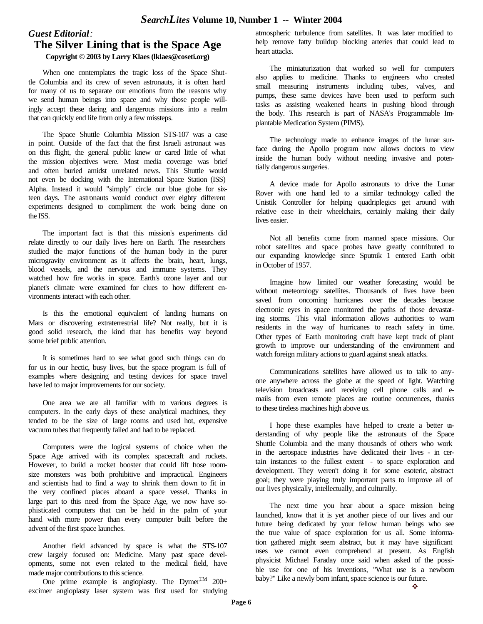#### *Guest Editorial:* **The Silver Lining that is the Space Age Copyright © 2003 by Larry Klaes (lklaes@coseti.org)**

When one contemplates the tragic loss of the Space Shuttle Columbia and its crew of seven astronauts, it is often hard for many of us to separate our emotions from the reasons why we send human beings into space and why those people willingly accept these daring and dangerous missions into a realm that can quickly end life from only a few missteps.

The Space Shuttle Columbia Mission STS-107 was a case in point. Outside of the fact that the first Israeli astronaut was on this flight, the general public knew or cared little of what the mission objectives were. Most media coverage was brief and often buried amidst unrelated news. This Shuttle would not even be docking with the International Space Station (ISS) Alpha. Instead it would "simply" circle our blue globe for sixteen days. The astronauts would conduct over eighty different experiments designed to compliment the work being done on the ISS.

The important fact is that this mission's experiments did relate directly to our daily lives here on Earth. The researchers studied the major functions of the human body in the purer microgravity environment as it affects the brain, heart, lungs, blood vessels, and the nervous and immune systems. They watched how fire works in space. Earth's ozone layer and our planet's climate were examined for clues to how different environments interact with each other.

Is this the emotional equivalent of landing humans on Mars or discovering extraterrestrial life? Not really, but it is good solid research, the kind that has benefits way beyond some brief public attention.

It is sometimes hard to see what good such things can do for us in our hectic, busy lives, but the space program is full of examples where designing and testing devices for space travel have led to major improvements for our society.

One area we are all familiar with to various degrees is computers. In the early days of these analytical machines, they tended to be the size of large rooms and used hot, expensive vacuum tubes that frequently failed and had to be replaced.

Computers were the logical systems of choice when the Space Age arrived with its complex spacecraft and rockets. However, to build a rocket booster that could lift hose roomsize monsters was both prohibitive and impractical. Engineers and scientists had to find a way to shrink them down to fit in the very confined places aboard a space vessel. Thanks in large part to this need from the Space Age, we now have sophisticated computers that can be held in the palm of your hand with more power than every computer built before the advent of the first space launches.

Another field advanced by space is what the STS-107 crew largely focused on: Medicine. Many past space developments, some not even related to the medical field, have made major contributions to this science.

One prime example is angioplasty. The Dymer<sup>TM</sup> 200+ excimer angioplasty laser system was first used for studying atmospheric turbulence from satellites. It was later modified to help remove fatty buildup blocking arteries that could lead to heart attacks.

The miniaturization that worked so well for computers also applies to medicine. Thanks to engineers who created small measuring instruments including tubes, valves, and pumps, these same devices have been used to perform such tasks as assisting weakened hearts in pushing blood through the body. This research is part of NASA's Programmable Implantable Medication System (PIMS).

The technology made to enhance images of the lunar surface during the Apollo program now allows doctors to view inside the human body without needing invasive and potentially dangerous surgeries.

A device made for Apollo astronauts to drive the Lunar Rover with one hand led to a similar technology called the Unistik Controller for helping quadriplegics get around with relative ease in their wheelchairs, certainly making their daily lives easier.

Not all benefits come from manned space missions. Our robot satellites and space probes have greatly contributed to our expanding knowledge since Sputnik 1 entered Earth orbit in October of 1957.

Imagine how limited our weather forecasting would be without meteorology satellites. Thousands of lives have been saved from oncoming hurricanes over the decades because electronic eyes in space monitored the paths of those devastating storms. This vital information allows authorities to warn residents in the way of hurricanes to reach safety in time. Other types of Earth monitoring craft have kept track of plant growth to improve our understanding of the environment and watch foreign military actions to guard against sneak attacks.

Communications satellites have allowed us to talk to anyone anywhere across the globe at the speed of light. Watching television broadcasts and receiving cell phone calls and emails from even remote places are routine occurrences, thanks to these tireless machines high above us.

I hope these examples have helped to create a better understanding of why people like the astronauts of the Space Shuttle Columbia and the many thousands of others who work in the aerospace industries have dedicated their lives - in certain instances to the fullest extent - to space exploration and development. They weren't doing it for some esoteric, abstract goal; they were playing truly important parts to improve all of our lives physically, intellectually, and culturally.

The next time you hear about a space mission being launched, know that it is yet another piece of our lives and our future being dedicated by your fellow human beings who see the true value of space exploration for us all. Some information gathered might seem abstract, but it may have significant uses we cannot even comprehend at present. As English physicist Michael Faraday once said when asked of the possible use for one of his inventions, "What use is a newborn baby?" Like a newly born infant, space science is our future.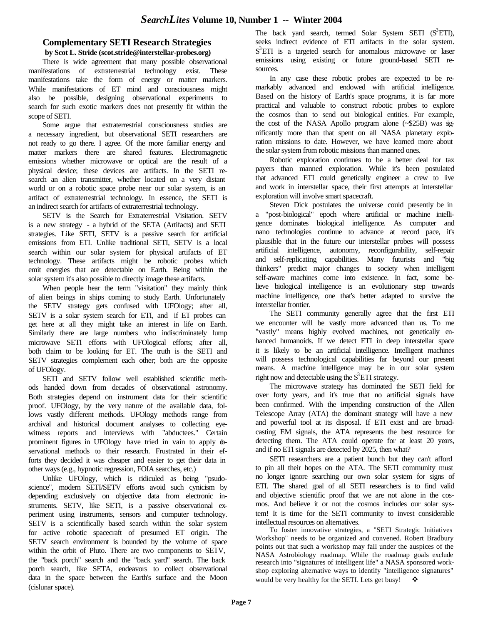#### **Complementary SETI Research Strategies by Scot L. Stride (scot.stride@interstellar-probes.org)**

There is wide agreement that many possible observational manifestations of extraterrestrial technology exist. These manifestations take the form of energy or matter markers. While manifestations of ET mind and consciousness might also be possible, designing observational experiments to search for such exotic markers does not presently fit within the scope of SETI.

Some argue that extraterrestrial consciousness studies are a necessary ingredient, but observational SETI researchers are not ready to go there. I agree. Of the more familiar energy and matter markers there are shared features. Electromagnetic emissions whether microwave or optical are the result of a physical device; these devices are artifacts. In the SETI research an alien transmitter, whether located on a very distant world or on a robotic space probe near our solar system, is an artifact of extraterrestrial technology. In essence, the SETI is an indirect search for artifacts of extraterrestrial technology.

SETV is the Search for Extraterrestrial Visitation. SETV is a new strategy - a hybrid of the SETA (Artifacts) and SETI strategies. Like SETI, SETV is a passive search for artificial emissions from ETI. Unlike traditional SETI, SETV is a local search within our solar system for physical artifacts of ET technology. These artifacts might be robotic probes which emit energies that are detectable on Earth. Being within the solar system it's also possible to directly image these artifacts.

When people hear the term "visitation" they mainly think of alien beings in ships coming to study Earth. Unfortunately the SETV strategy gets confused with UFOlogy; after all, SETV is a solar system search for ETI, and if ET probes can get here at all they might take an interest in life on Earth. Similarly there are large numbers who indiscriminately lump microwave SETI efforts with UFOlogical efforts; after all, both claim to be looking for ET. The truth is the SETI and SETV strategies complement each other; both are the opposite of UFOlogy.

SETI and SETV follow well established scientific methods handed down from decades of observational astronomy. Both strategies depend on instrument data for their scientific proof. UFOlogy, by the very nature of the available data, follows vastly different methods. UFOlogy methods range from archival and historical document analyses to collecting eyewitness reports and interviews with "abductees." Certain prominent figures in UFOlogy have tried in vain to apply  $\Phi$ servational methods to their research. Frustrated in their efforts they decided it was cheaper and easier to get their data in other ways (e.g., hypnotic regression, FOIA searches, etc.)

Unlike UFOlogy, which is ridiculed as being "psudoscience", modern SETI/SETV efforts avoid such cynicism by depending exclusively on objective data from electronic instruments. SETV, like SETI, is a passive observational experiment using instruments, sensors and computer technology. SETV is a scientifically based search within the solar system for active robotic spacecraft of presumed ET origin. The SETV search environment is bounded by the volume of space within the orbit of Pluto. There are two components to SETV, the "back porch" search and the "back yard" search. The back porch search, like SETA, endeavors to collect observational data in the space between the Earth's surface and the Moon (cislunar space).

The back yard search, termed Solar System SETI  $(S^3ETI)$ , seeks indirect evidence of ETI artifacts in the solar system. S<sup>3</sup>ETI is a targeted search for anomalous microwave or laser emissions using existing or future ground-based SETI resources.

In any case these robotic probes are expected to be remarkably advanced and endowed with artificial intelligence. Based on the history of Earth's space programs, it is far more practical and valuable to construct robotic probes to explore the cosmos than to send out biological entities. For example, the cost of the NASA Apollo program alone (~\$25B) was significantly more than that spent on all NASA planetary exploration missions to date. However, we have learned more about the solar system from robotic missions than manned ones.

Robotic exploration continues to be a better deal for tax payers than manned exploration. While it's been postulated that advanced ETI could genetically engineer a crew to live and work in interstellar space, their first attempts at interstellar exploration will involve smart spacecraft.

Steven Dick postulates the universe could presently be in a "post-biological" epoch where artificial or machine intelligence dominates biological intelligence. As computer and nano technologies continue to advance at record pace, it's plausible that in the future our interstellar probes will possess artificial intelligence, autonomy, reconfigurability, self-repair and self-replicating capabilities. Many futurists and "big thinkers" predict major changes to society when intelligent self-aware machines come into existence. In fact, some believe biological intelligence is an evolutionary step towards machine intelligence, one that's better adapted to survive the interstellar frontier.

The SETI community generally agree that the first ETI we encounter will be vastly more advanced than us. To me "vastly" means highly evolved machines, not genetically enhanced humanoids. If we detect ETI in deep interstellar space it is likely to be an artificial intelligence. Intelligent machines will possess technological capabilities far beyond our present means. A machine intelligence may be in our solar system right now and detectable using the  $S^3$ ETI strategy.

The microwave strategy has dominated the SETI field for over forty years, and it's true that no artificial signals have been confirmed. With the impending construction of the Allen Telescope Array (ATA) the dominant strategy will have a new and powerful tool at its disposal. If ETI exist and are broadcasting EM signals, the ATA represents the best resource for detecting them. The ATA could operate for at least 20 years, and if no ETI signals are detected by 2025, then what?

SETI researchers are a patient bunch but they can't afford to pin all their hopes on the ATA. The SETI community must no longer ignore searching our own solar system for signs of ETI. The shared goal of all SETI researchers is to find valid and objective scientific proof that we are not alone in the cosmos. And believe it or not the cosmos includes our solar system! It is time for the SETI community to invest considerable intellectual resources on alternatives.

To foster innovative strategies, a "SETI Strategic Initiatives Workshop" needs to be organized and convened. Robert Bradbury points out that such a workshop may fall under the auspices of the NASA Astrobiology roadmap. While the roadmap goals exclude research into "signatures of intelligent life" a NASA sponsored workshop exploring alternative ways to identify "intelligence signatures" would be very healthy for the SETI. Lets get busy!